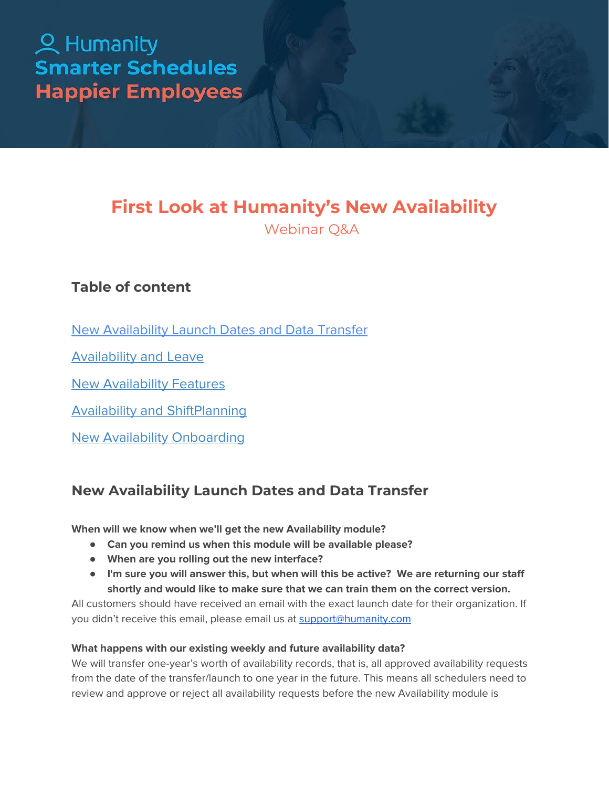# 2 Humanity **Smarter Schedules Happier Employees**

# **First Look at Humanity's New Availability**

Webinar Q&A

# **Table of content**

New [Availability](#page-0-0) Launch Dates and Data Transfer

[Availability](#page-2-0) and Leave

New [Availability](#page-3-0) Features

Availability and [ShiftPlanning](#page-6-0)

<span id="page-0-0"></span>New Availability [Onboarding](#page-7-0)

# **New Availability Launch Dates and Data Transfer**

**When will we know when we'll get the new Availability module?**

- **● Can you remind us when this module will be available please?**
- **● When are you rolling out the new interface?**
- **● I'm sure you will answer this, but when will this be active? We are returning our staff shortly and would like to make sure that we can train them on the correct version.**

All customers should have received an email with the exact launch date for their organization. If you didn't receive this email, please email us at [support@humanity.com](mailto:support@humanity.com)

# **What happens with our existing weekly and future availability data?**

We will transfer one-year's worth of availability records, that is, all approved availability requests from the date of the transfer/launch to one year in the future. This means all schedulers need to review and approve or reject all availability requests before the new Availability module is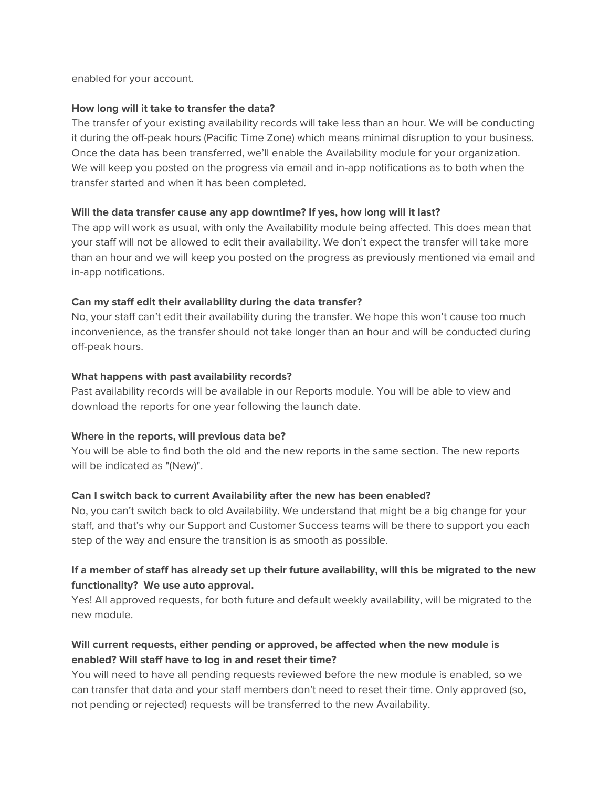enabled for your account.

#### **How long will it take to transfer the data?**

The transfer of your existing availability records will take less than an hour. We will be conducting it during the off-peak hours (Pacific Time Zone) which means minimal disruption to your business. Once the data has been transferred, we'll enable the Availability module for your organization. We will keep you posted on the progress via email and in-app notifications as to both when the transfer started and when it has been completed.

#### **Will the data transfer cause any app downtime? If yes, how long will it last?**

The app will work as usual, with only the Availability module being affected. This does mean that your staff will not be allowed to edit their availability. We don't expect the transfer will take more than an hour and we will keep you posted on the progress as previously mentioned via email and in-app notifications.

#### **Can my staff edit their availability during the data transfer?**

No, your staff can't edit their availability during the transfer. We hope this won't cause too much inconvenience, as the transfer should not take longer than an hour and will be conducted during off-peak hours.

#### **What happens with past availability records?**

Past availability records will be available in our Reports module. You will be able to view and download the reports for one year following the launch date.

#### **Where in the reports, will previous data be?**

You will be able to find both the old and the new reports in the same section. The new reports will be indicated as "(New)".

#### **Can I switch back to current Availability after the new has been enabled?**

No, you can't switch back to old Availability. We understand that might be a big change for your staff, and that's why our Support and Customer Success teams will be there to support you each step of the way and ensure the transition is as smooth as possible.

# If a member of staff has already set up their future availability, will this be migrated to the new **functionality? We use auto approval.**

Yes! All approved requests, for both future and default weekly availability, will be migrated to the new module.

# **Will current requests, either pending or approved, be affected when the new module is enabled? Will staff have to log in and reset their time?**

You will need to have all pending requests reviewed before the new module is enabled, so we can transfer that data and your staff members don't need to reset their time. Only approved (so, not pending or rejected) requests will be transferred to the new Availability.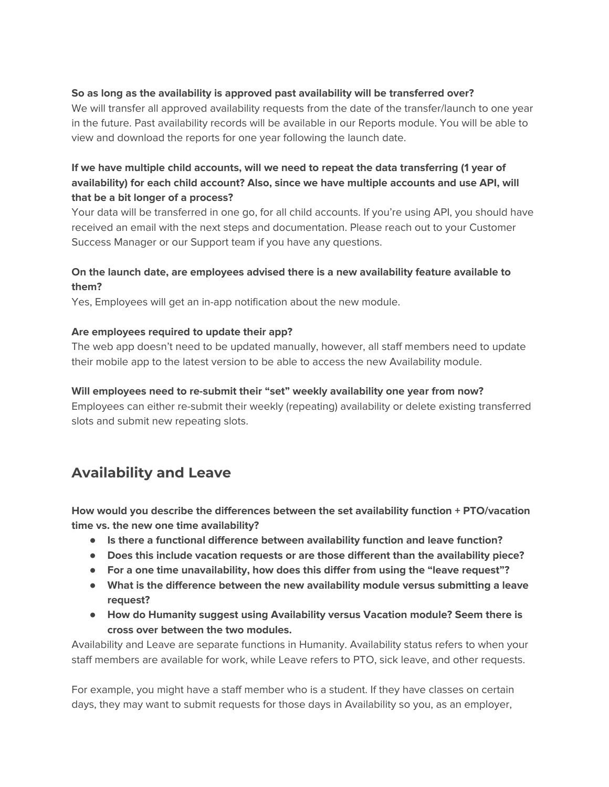### **So as long as the availability is approved past availability will be transferred over?**

We will transfer all approved availability requests from the date of the transfer/launch to one year in the future. Past availability records will be available in our Reports module. You will be able to view and download the reports for one year following the launch date.

# **If we have multiple child accounts, will we need to repeat the data transferring (1 year of availability) for each child account? Also, since we have multiple accounts and use API, will that be a bit longer of a process?**

Your data will be transferred in one go, for all child accounts. If you're using API, you should have received an email with the next steps and documentation. Please reach out to your Customer Success Manager or our Support team if you have any questions.

# **On the launch date, are employees advised there is a new availability feature available to them?**

Yes, Employees will get an in-app notification about the new module.

#### **Are employees required to update their app?**

The web app doesn't need to be updated manually, however, all staff members need to update their mobile app to the latest version to be able to access the new Availability module.

#### **Will employees need to re-submit their "set" weekly availability one year from now?**

Employees can either re-submit their weekly (repeating) availability or delete existing transferred slots and submit new repeating slots.

# <span id="page-2-0"></span>**Availability and Leave**

**How would you describe the differences between the set availability function + PTO/vacation time vs. the new one time availability?**

- **● Is there a functional difference between availability function and leave function?**
- **● Does this include vacation requests or are those different than the availability piece?**
- **● For a one time unavailability, how does this differ from using the "leave request"?**
- **● What is the difference between the new availability module versus submitting a leave request?**
- **● How do Humanity suggest using Availability versus Vacation module? Seem there is cross over between the two modules.**

Availability and Leave are separate functions in Humanity. Availability status refers to when your staff members are available for work, while Leave refers to PTO, sick leave, and other requests.

For example, you might have a staff member who is a student. If they have classes on certain days, they may want to submit requests for those days in Availability so you, as an employer,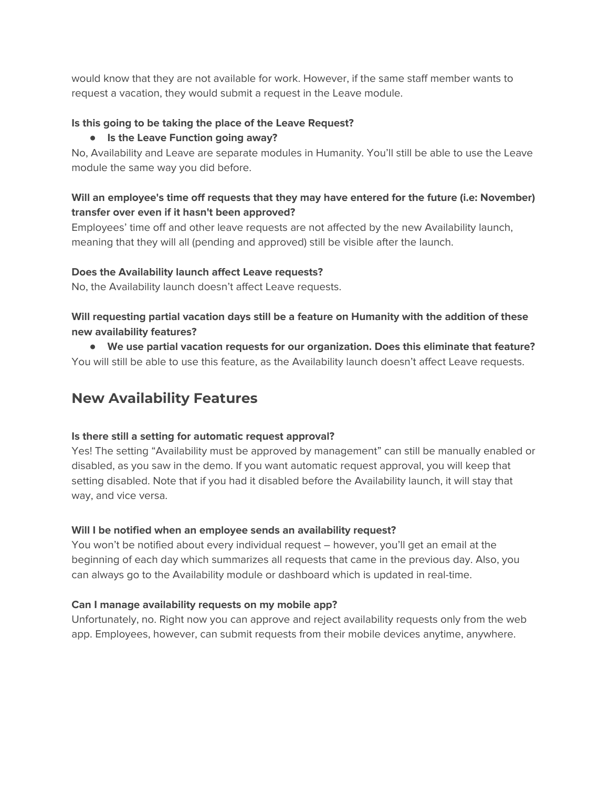would know that they are not available for work. However, if the same staff member wants to request a vacation, they would submit a request in the Leave module.

# **Is this going to be taking the place of the Leave Request?**

# **● Is the Leave Function going away?**

No, Availability and Leave are separate modules in Humanity. You'll still be able to use the Leave module the same way you did before.

# **Will an employee's time off requests that they may have entered for the future (i.e: November) transfer over even if it hasn't been approved?**

Employees' time off and other leave requests are not affected by the new Availability launch, meaning that they will all (pending and approved) still be visible after the launch.

# **Does the Availability launch affect Leave requests?**

No, the Availability launch doesn't affect Leave requests.

**Will requesting partial vacation days still be a feature on Humanity with the addition of these new availability features?**

**● We use partial vacation requests for our organization. Does this eliminate that feature?** You will still be able to use this feature, as the Availability launch doesn't affect Leave requests.

# <span id="page-3-0"></span>**New Availability Features**

#### **Is there still a setting for automatic request approval?**

Yes! The setting "Availability must be approved by management" can still be manually enabled or disabled, as you saw in the demo. If you want automatic request approval, you will keep that setting disabled. Note that if you had it disabled before the Availability launch, it will stay that way, and vice versa.

#### **Will I be notified when an employee sends an availability request?**

You won't be notified about every individual request – however, you'll get an email at the beginning of each day which summarizes all requests that came in the previous day. Also, you can always go to the Availability module or dashboard which is updated in real-time.

# **Can I manage availability requests on my mobile app?**

Unfortunately, no. Right now you can approve and reject availability requests only from the web app. Employees, however, can submit requests from their mobile devices anytime, anywhere.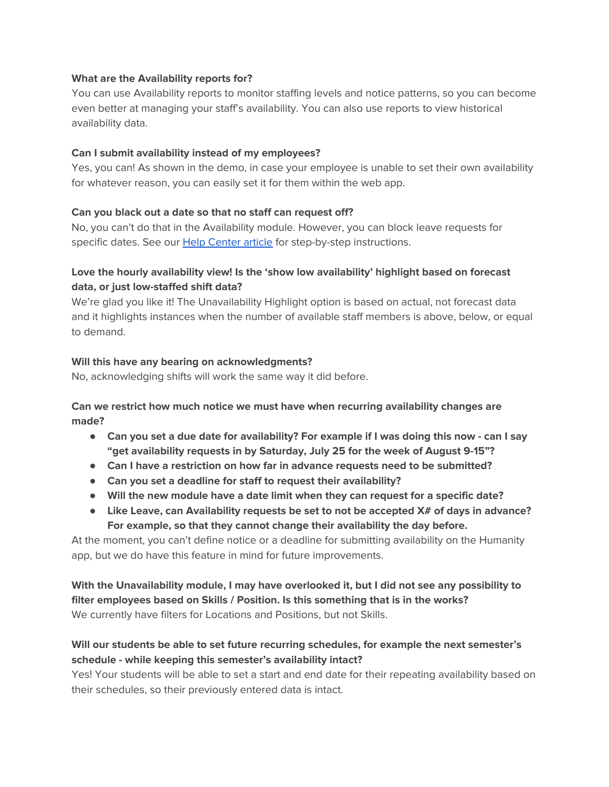#### **What are the Availability reports for?**

You can use Availability reports to monitor staffing levels and notice patterns, so you can become even better at managing your staff's availability. You can also use reports to view historical availability data.

#### **Can I submit availability instead of my employees?**

Yes, you can! As shown in the demo, in case your employee is unable to set their own availability for whatever reason, you can easily set it for them within the web app.

#### **Can you black out a date so that no staff can request off?**

No, you can't do that in the Availability module. However, you can block leave requests for specific dates. See our Help [Center](https://helpcenter.humanity.com/en/articles/2548759-block-leave-requests-for-specific-dates) article for step-by-step instructions.

# **Love the hourly availability view! Is the 'show low availability' highlight based on forecast data, or just low-staffed shift data?**

We're glad you like it! The Unavailability Highlight option is based on actual, not forecast data and it highlights instances when the number of available staff members is above, below, or equal to demand.

#### **Will this have any bearing on acknowledgments?**

No, acknowledging shifts will work the same way it did before.

**Can we restrict how much notice we must have when recurring availability changes are made?**

- Can you set a due date for availability? For example if I was doing this now can I say **"get availability requests in by Saturday, July 25 for the week of August 9-15"?**
- **● Can I have a restriction on how far in advance requests need to be submitted?**
- **● Can you set a deadline for staff to request their availability?**
- **● Will the new module have a date limit when they can request for a specific date?**
- **● Like Leave, can Availability requests be set to not be accepted X# of days in advance? For example, so that they cannot change their availability the day before.**

At the moment, you can't define notice or a deadline for submitting availability on the Humanity app, but we do have this feature in mind for future improvements.

**With the Unavailability module, I may have overlooked it, but I did not see any possibility to filter employees based on Skills / Position. Is this something that is in the works?** We currently have filters for Locations and Positions, but not Skills.

# **Will our students be able to set future recurring schedules, for example the next semester's schedule - while keeping this semester's availability intact?**

Yes! Your students will be able to set a start and end date for their repeating availability based on their schedules, so their previously entered data is intact.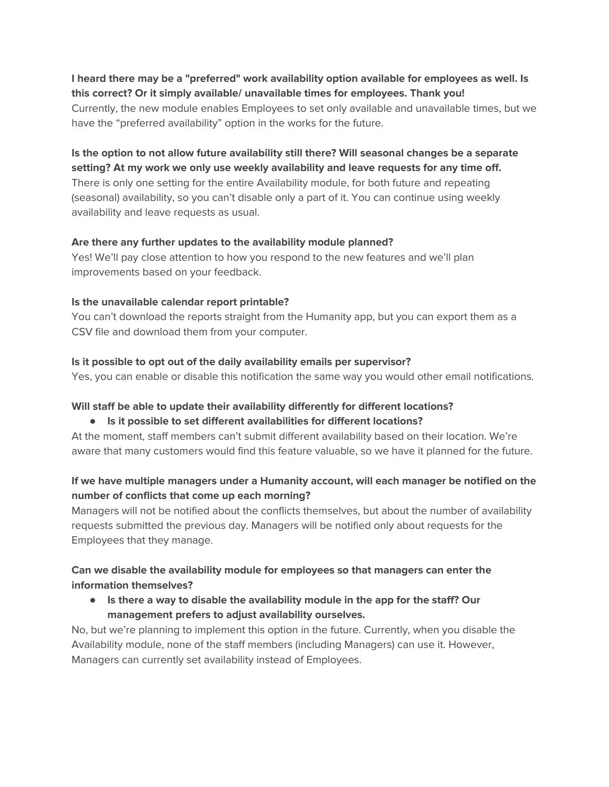# **I heard there may be a "preferred" work availability option available for employees as well. Is this correct? Or it simply available/ unavailable times for employees. Thank you!**

Currently, the new module enables Employees to set only available and unavailable times, but we have the "preferred availability" option in the works for the future.

# **Is the option to not allow future availability still there? Will seasonal changes be a separate setting? At my work we only use weekly availability and leave requests for any time off.**

There is only one setting for the entire Availability module, for both future and repeating (seasonal) availability, so you can't disable only a part of it. You can continue using weekly availability and leave requests as usual.

# **Are there any further updates to the availability module planned?**

Yes! We'll pay close attention to how you respond to the new features and we'll plan improvements based on your feedback.

# **Is the unavailable calendar report printable?**

You can't download the reports straight from the Humanity app, but you can export them as a CSV file and download them from your computer.

# **Is it possible to opt out of the daily availability emails per supervisor?**

Yes, you can enable or disable this notification the same way you would other email notifications.

# **Will staff be able to update their availability differently for different locations?**

#### **● Is it possible to set different availabilities for different locations?**

At the moment, staff members can't submit different availability based on their location. We're aware that many customers would find this feature valuable, so we have it planned for the future.

# **If we have multiple managers under a Humanity account, will each manager be notified on the number of conflicts that come up each morning?**

Managers will not be notified about the conflicts themselves, but about the number of availability requests submitted the previous day. Managers will be notified only about requests for the Employees that they manage.

# **Can we disable the availability module for employees so that managers can enter the information themselves?**

**● Is there a way to disable the availability module in the app for the staff? Our management prefers to adjust availability ourselves.**

No, but we're planning to implement this option in the future. Currently, when you disable the Availability module, none of the staff members (including Managers) can use it. However, Managers can currently set availability instead of Employees.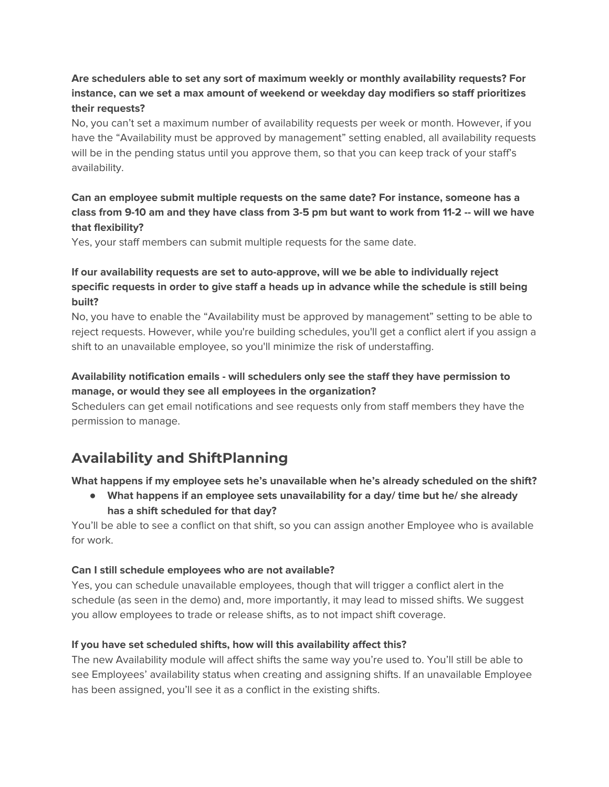# **Are schedulers able to set any sort of maximum weekly or monthly availability requests? For instance, can we set a max amount of weekend or weekday day modifiers so staff prioritizes their requests?**

No, you can't set a maximum number of availability requests per week or month. However, if you have the "Availability must be approved by management" setting enabled, all availability requests will be in the pending status until you approve them, so that you can keep track of your staff's availability.

# **Can an employee submit multiple requests on the same date? For instance, someone has a** class from 9-10 am and they have class from 3-5 pm but want to work from 11-2 -- will we have **that flexibility?**

Yes, your staff members can submit multiple requests for the same date.

# **If our availability requests are set to auto-approve, will we be able to individually reject specific requests in order to give staff a heads up in advance while the schedule is still being built?**

No, you have to enable the "Availability must be approved by management" setting to be able to reject requests. However, while you're building schedules, you'll get a conflict alert if you assign a shift to an unavailable employee, so you'll minimize the risk of understaffing.

# **Availability notification emails - will schedulers only see the staff they have permission to manage, or would they see all employees in the organization?**

Schedulers can get email notifications and see requests only from staff members they have the permission to manage.

# <span id="page-6-0"></span>**Availability and ShiftPlanning**

# **What happens if my employee sets he's unavailable when he's already scheduled on the shift?**

**● What happens if an employee sets unavailability for a day/ time but he/ she already has a shift scheduled for that day?**

You'll be able to see a conflict on that shift, so you can assign another Employee who is available for work.

# **Can I still schedule employees who are not available?**

Yes, you can schedule unavailable employees, though that will trigger a conflict alert in the schedule (as seen in the demo) and, more importantly, it may lead to missed shifts. We suggest you allow employees to trade or release shifts, as to not impact shift coverage.

# **If you have set scheduled shifts, how will this availability affect this?**

The new Availability module will affect shifts the same way you're used to. You'll still be able to see Employees' availability status when creating and assigning shifts. If an unavailable Employee has been assigned, you'll see it as a conflict in the existing shifts.